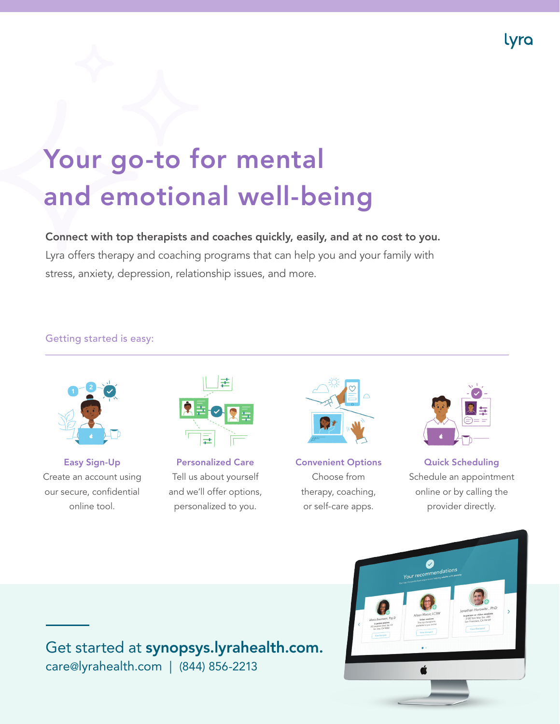

# Your go-to for mental and emotional well-being

Connect with top therapists and coaches quickly, easily, and at no cost to you.

Lyra offers therapy and coaching programs that can help you and your family with stress, anxiety, depression, relationship issues, and more.

#### Getting started is easy:



Easy Sign-Up Create an account using our secure, confidential online tool.



Personalized Care Tell us about yourself and we'll offer options, personalized to you.



Convenient Options Choose from therapy, coaching, or self-care apps.



Quick Scheduling Schedule an appointment online or by calling the provider directly.